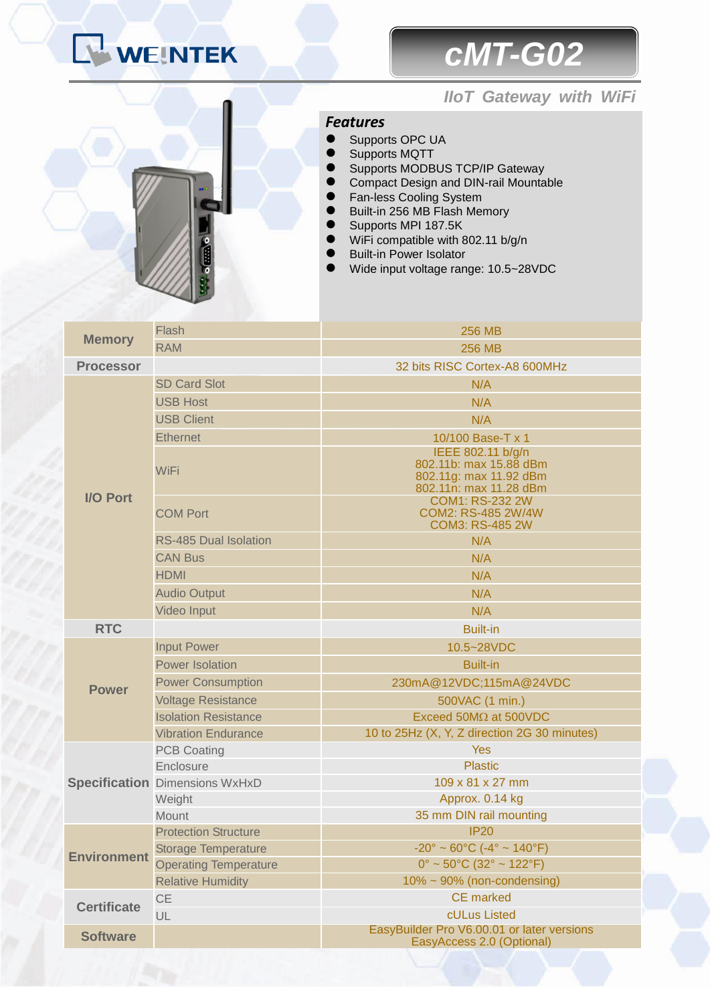# WEINTEK

# *cMT-G02*

### *IIoT Gateway with WiFi*

#### *Features*

- Supports OPC UA
- Supports MQTT
- Supports MODBUS TCP/IP Gateway
- Compact Design and DIN-rail Mountable
- **•** Fan-less Cooling System
- Built-in 256 MB Flash Memory
	- Supports MPI 187.5K
- WiFi compatible with 802.11 b/g/n
- Built-in Power Isolator
- Wide input voltage range: 10.5~28VDC

| <b>Memory</b>      | <b>Flash</b>                          | <b>256 MB</b>                                                                                   |
|--------------------|---------------------------------------|-------------------------------------------------------------------------------------------------|
|                    | <b>RAM</b>                            | <b>256 MB</b>                                                                                   |
| <b>Processor</b>   |                                       | 32 bits RISC Cortex-A8 600MHz                                                                   |
| <b>I/O Port</b>    | <b>SD Card Slot</b>                   | N/A                                                                                             |
|                    | <b>USB Host</b>                       | N/A                                                                                             |
|                    | <b>USB Client</b>                     | N/A                                                                                             |
|                    | <b>Ethernet</b>                       | 10/100 Base-T x 1                                                                               |
|                    | WiFi                                  | IEEE 802.11 b/g/n<br>802.11b: max 15.88 dBm<br>802.11g: max 11.92 dBm<br>802.11n: max 11.28 dBm |
|                    | <b>COM Port</b>                       | <b>COM1: RS-232 2W</b><br>COM2: RS-485 2W/4W<br><b>COM3: RS-485 2W</b>                          |
|                    | <b>RS-485 Dual Isolation</b>          | N/A                                                                                             |
|                    | <b>CAN Bus</b>                        | N/A                                                                                             |
|                    | <b>HDMI</b>                           | N/A                                                                                             |
|                    | <b>Audio Output</b>                   | N/A                                                                                             |
|                    | <b>Video Input</b>                    | N/A                                                                                             |
| <b>RTC</b>         |                                       | <b>Built-in</b>                                                                                 |
| <b>Power</b>       | <b>Input Power</b>                    | 10.5~28VDC                                                                                      |
|                    | <b>Power Isolation</b>                | <b>Built-in</b>                                                                                 |
|                    | <b>Power Consumption</b>              | 230mA@12VDC;115mA@24VDC                                                                         |
|                    | <b>Voltage Resistance</b>             | 500VAC (1 min.)                                                                                 |
|                    | <b>Isolation Resistance</b>           | Exceed 50MΩ at 500VDC                                                                           |
|                    | <b>Vibration Endurance</b>            | 10 to 25Hz (X, Y, Z direction 2G 30 minutes)                                                    |
|                    | <b>PCB Coating</b>                    | Yes                                                                                             |
|                    | Enclosure                             | <b>Plastic</b>                                                                                  |
|                    | <b>Specification Dimensions WxHxD</b> | 109 x 81 x 27 mm                                                                                |
|                    | Weight                                | Approx. 0.14 kg                                                                                 |
|                    | Mount                                 | 35 mm DIN rail mounting                                                                         |
| <b>Environment</b> | <b>Protection Structure</b>           | IP20                                                                                            |
|                    | <b>Storage Temperature</b>            | $-20^{\circ} \sim 60^{\circ}$ C ( $-4^{\circ} \sim 140^{\circ}$ F)                              |
|                    | <b>Operating Temperature</b>          | $0^{\circ}$ ~ 50°C (32° ~ 122°F)                                                                |
| <b>Certificate</b> | <b>Relative Humidity</b>              | $10\% \sim 90\%$ (non-condensing)<br><b>CE</b> marked                                           |
|                    | <b>CE</b>                             | cULus Listed                                                                                    |
|                    | UL                                    | EasyBuilder Pro V6.00.01 or later versions                                                      |
| <b>Software</b>    |                                       | EasyAccess 2.0 (Optional)                                                                       |